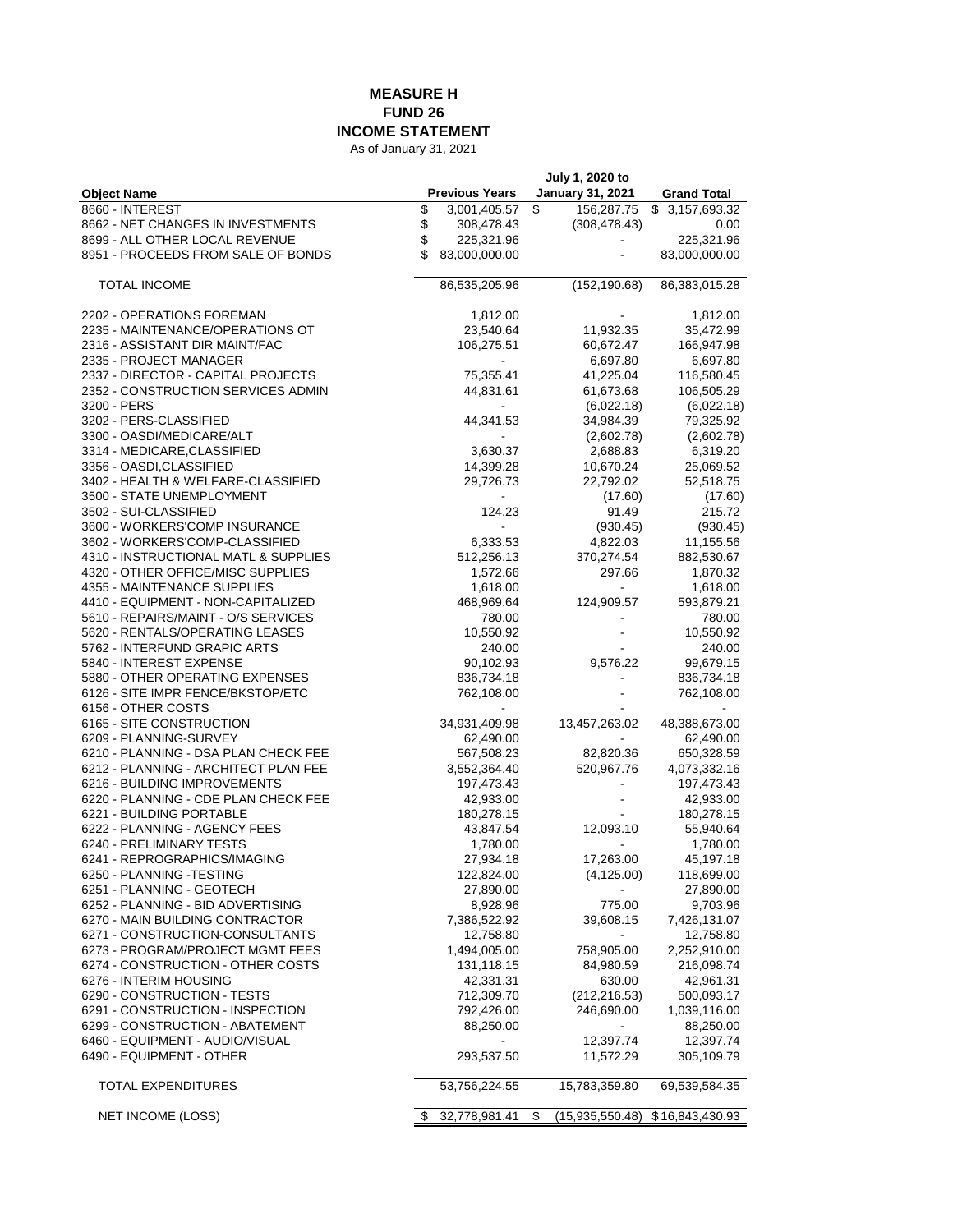## **MEASURE H FUND 26 INCOME STATEMENT**

As of January 31, 2021

|                                       | July 1, 2020 to |                       |    |                         |                        |
|---------------------------------------|-----------------|-----------------------|----|-------------------------|------------------------|
| <b>Object Name</b>                    |                 | <b>Previous Years</b> |    | <b>January 31, 2021</b> | <b>Grand Total</b>     |
| 8660 - INTEREST                       | \$              | 3,001,405.57          | \$ | 156,287.75              | \$3,157,693.32         |
| 8662 - NET CHANGES IN INVESTMENTS     | \$              | 308,478.43            |    | (308, 478.43)           | 0.00                   |
| 8699 - ALL OTHER LOCAL REVENUE        | \$              | 225,321.96            |    |                         | 225,321.96             |
| 8951 - PROCEEDS FROM SALE OF BONDS    | \$              | 83,000,000.00         |    |                         | 83,000,000.00          |
| <b>TOTAL INCOME</b>                   |                 | 86,535,205.96         |    | (152, 190.68)           | 86,383,015.28          |
|                                       |                 |                       |    |                         |                        |
| 2202 - OPERATIONS FOREMAN             |                 | 1,812.00              |    |                         | 1,812.00               |
| 2235 - MAINTENANCE/OPERATIONS OT      |                 | 23,540.64             |    | 11,932.35               | 35,472.99              |
| 2316 - ASSISTANT DIR MAINT/FAC        |                 | 106,275.51            |    | 60,672.47               | 166,947.98             |
| 2335 - PROJECT MANAGER                |                 |                       |    | 6,697.80                | 6,697.80               |
| 2337 - DIRECTOR - CAPITAL PROJECTS    |                 | 75,355.41             |    | 41,225.04               | 116,580.45             |
| 2352 - CONSTRUCTION SERVICES ADMIN    |                 | 44,831.61             |    | 61,673.68               | 106,505.29             |
| 3200 - PERS<br>3202 - PERS-CLASSIFIED |                 |                       |    | (6,022.18)              | (6,022.18)             |
| 3300 - OASDI/MEDICARE/ALT             |                 | 44,341.53             |    | 34,984.39               | 79,325.92              |
| 3314 - MEDICARE, CLASSIFIED           |                 | 3,630.37              |    | (2,602.78)<br>2,688.83  | (2,602.78)<br>6,319.20 |
| 3356 - OASDI,CLASSIFIED               |                 | 14,399.28             |    | 10,670.24               | 25,069.52              |
| 3402 - HEALTH & WELFARE-CLASSIFIED    |                 | 29,726.73             |    | 22,792.02               | 52,518.75              |
| 3500 - STATE UNEMPLOYMENT             |                 |                       |    | (17.60)                 | (17.60)                |
| 3502 - SUI-CLASSIFIED                 |                 | 124.23                |    | 91.49                   | 215.72                 |
| 3600 - WORKERS'COMP INSURANCE         |                 | $\blacksquare$        |    | (930.45)                | (930.45)               |
| 3602 - WORKERS'COMP-CLASSIFIED        |                 | 6,333.53              |    | 4,822.03                | 11,155.56              |
| 4310 - INSTRUCTIONAL MATL & SUPPLIES  |                 | 512,256.13            |    | 370,274.54              | 882,530.67             |
| 4320 - OTHER OFFICE/MISC SUPPLIES     |                 | 1,572.66              |    | 297.66                  | 1,870.32               |
| 4355 - MAINTENANCE SUPPLIES           |                 | 1,618.00              |    |                         | 1,618.00               |
| 4410 - EQUIPMENT - NON-CAPITALIZED    |                 | 468,969.64            |    | 124,909.57              | 593,879.21             |
| 5610 - REPAIRS/MAINT - O/S SERVICES   |                 | 780.00                |    | $\blacksquare$          | 780.00                 |
| 5620 - RENTALS/OPERATING LEASES       |                 | 10,550.92             |    |                         | 10,550.92              |
| 5762 - INTERFUND GRAPIC ARTS          |                 | 240.00                |    |                         | 240.00                 |
| 5840 - INTEREST EXPENSE               |                 | 90,102.93             |    | 9,576.22                | 99,679.15              |
| 5880 - OTHER OPERATING EXPENSES       |                 | 836,734.18            |    |                         | 836,734.18             |
| 6126 - SITE IMPR FENCE/BKSTOP/ETC     |                 | 762,108.00            |    |                         | 762,108.00             |
| 6156 - OTHER COSTS                    |                 |                       |    |                         |                        |
| 6165 - SITE CONSTRUCTION              |                 | 34,931,409.98         |    | 13,457,263.02           | 48,388,673.00          |
| 6209 - PLANNING-SURVEY                |                 | 62,490.00             |    |                         | 62,490.00              |
| 6210 - PLANNING - DSA PLAN CHECK FEE  |                 | 567,508.23            |    | 82,820.36               | 650,328.59             |
| 6212 - PLANNING - ARCHITECT PLAN FEE  |                 | 3,552,364.40          |    | 520,967.76              | 4,073,332.16           |
| 6216 - BUILDING IMPROVEMENTS          |                 | 197,473.43            |    |                         | 197,473.43             |
| 6220 - PLANNING - CDE PLAN CHECK FEE  |                 | 42,933.00             |    |                         | 42,933.00              |
| 6221 - BUILDING PORTABLE              |                 | 180,278.15            |    |                         | 180,278.15             |
| 6222 - PLANNING - AGENCY FEES         |                 | 43,847.54             |    | 12,093.10               | 55,940.64              |
| 6240 - PRELIMINARY TESTS              |                 | 1,780.00              |    |                         | 1,780.00               |
| 6241 - REPROGRAPHICS/IMAGING          |                 | 27,934.18             |    | 17,263.00               | 45,197.18              |
| 6250 - PLANNING -TESTING              |                 | 122,824.00            |    | (4, 125.00)             | 118,699.00             |
| 6251 - PLANNING - GEOTECH             |                 | 27,890.00             |    |                         | 27,890.00              |
| 6252 - PLANNING - BID ADVERTISING     |                 | 8,928.96              |    | 775.00                  | 9,703.96               |
| 6270 - MAIN BUILDING CONTRACTOR       |                 | 7,386,522.92          |    | 39,608.15               | 7,426,131.07           |
| 6271 - CONSTRUCTION-CONSULTANTS       |                 | 12,758.80             |    |                         | 12,758.80              |
| 6273 - PROGRAM/PROJECT MGMT FEES      |                 | 1,494,005.00          |    | 758,905.00              | 2,252,910.00           |
| 6274 - CONSTRUCTION - OTHER COSTS     |                 | 131,118.15            |    | 84,980.59               | 216,098.74             |
| 6276 - INTERIM HOUSING                |                 | 42,331.31             |    | 630.00                  | 42,961.31              |
| 6290 - CONSTRUCTION - TESTS           |                 | 712,309.70            |    | (212, 216.53)           | 500,093.17             |
| 6291 - CONSTRUCTION - INSPECTION      |                 | 792,426.00            |    | 246,690.00              | 1,039,116.00           |
| 6299 - CONSTRUCTION - ABATEMENT       |                 | 88,250.00             |    |                         | 88,250.00              |
| 6460 - EQUIPMENT - AUDIO/VISUAL       |                 |                       |    | 12,397.74               | 12,397.74              |
| 6490 - EQUIPMENT - OTHER              |                 | 293,537.50            |    | 11,572.29               | 305,109.79             |
| TOTAL EXPENDITURES                    |                 | 53,756,224.55         |    | 15,783,359.80           | 69,539,584.35          |
| NET INCOME (LOSS)                     |                 |                       | \$ |                         |                        |
|                                       |                 | 32,778,981.41         |    | (15,935,550.48)         | \$16,843,430.93        |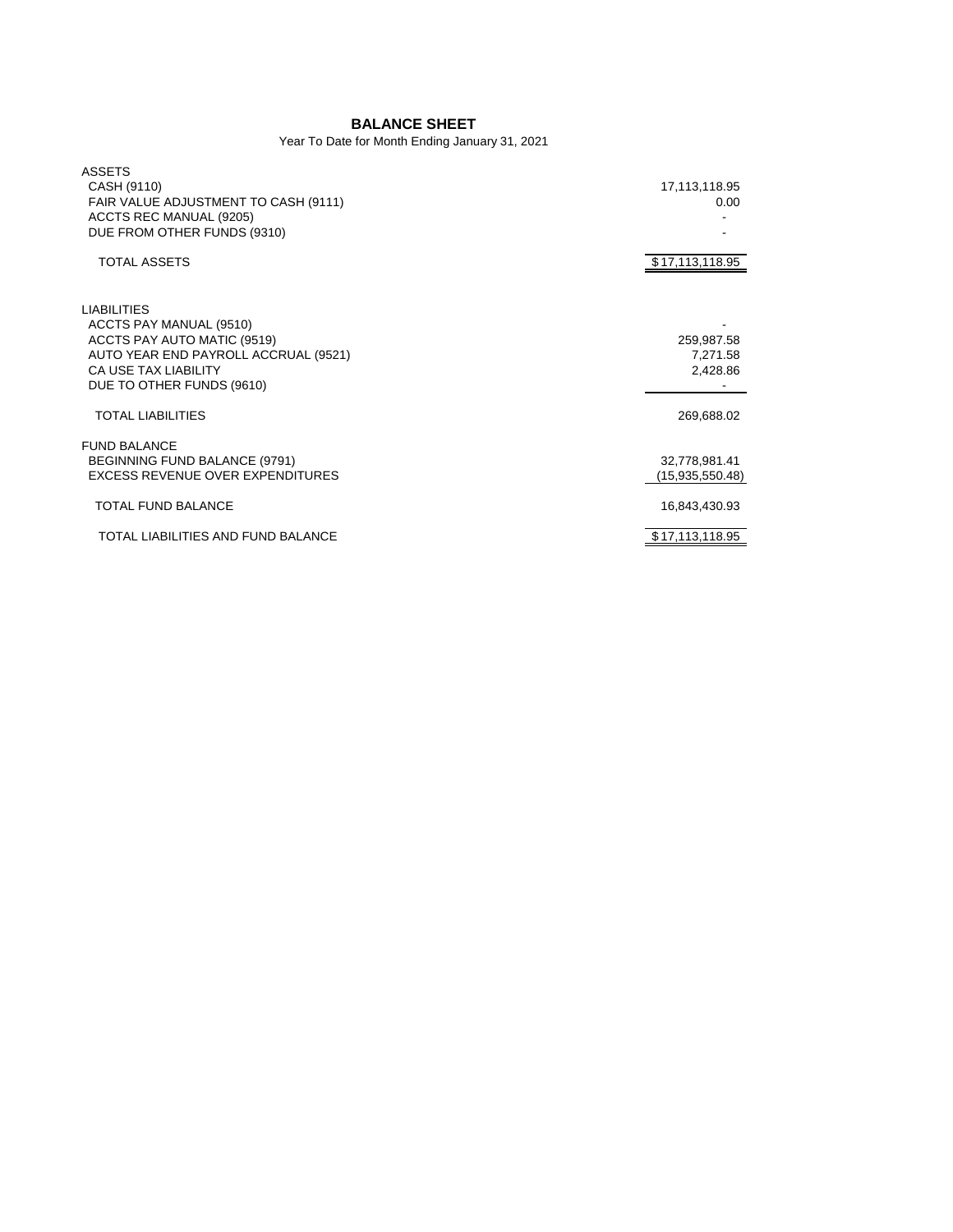## **BALANCE SHEET**

Year To Date for Month Ending January 31, 2021

| <b>ASSETS</b><br>CASH (9110)<br>FAIR VALUE ADJUSTMENT TO CASH (9111)<br>ACCTS REC MANUAL (9205)<br>DUE FROM OTHER FUNDS (9310)<br><b>TOTAL ASSETS</b>                            | 17,113,118.95<br>0.00<br>\$17,113,118.95 |
|----------------------------------------------------------------------------------------------------------------------------------------------------------------------------------|------------------------------------------|
| <b>LIABILITIES</b><br>ACCTS PAY MANUAL (9510)<br>ACCTS PAY AUTO MATIC (9519)<br>AUTO YEAR END PAYROLL ACCRUAL (9521)<br><b>CA USE TAX LIABILITY</b><br>DUE TO OTHER FUNDS (9610) | 259,987.58<br>7,271.58<br>2,428.86       |
| <b>TOTAL LIABILITIES</b>                                                                                                                                                         | 269,688.02                               |
| <b>FUND BALANCE</b><br>BEGINNING FUND BALANCE (9791)<br>EXCESS REVENUE OVER EXPENDITURES                                                                                         | 32,778,981.41<br>(15,935,550.48)         |
| <b>TOTAL FUND BALANCE</b>                                                                                                                                                        | 16,843,430.93                            |
| TOTAL LIABILITIES AND FUND BALANCE                                                                                                                                               | \$17,113,118.95                          |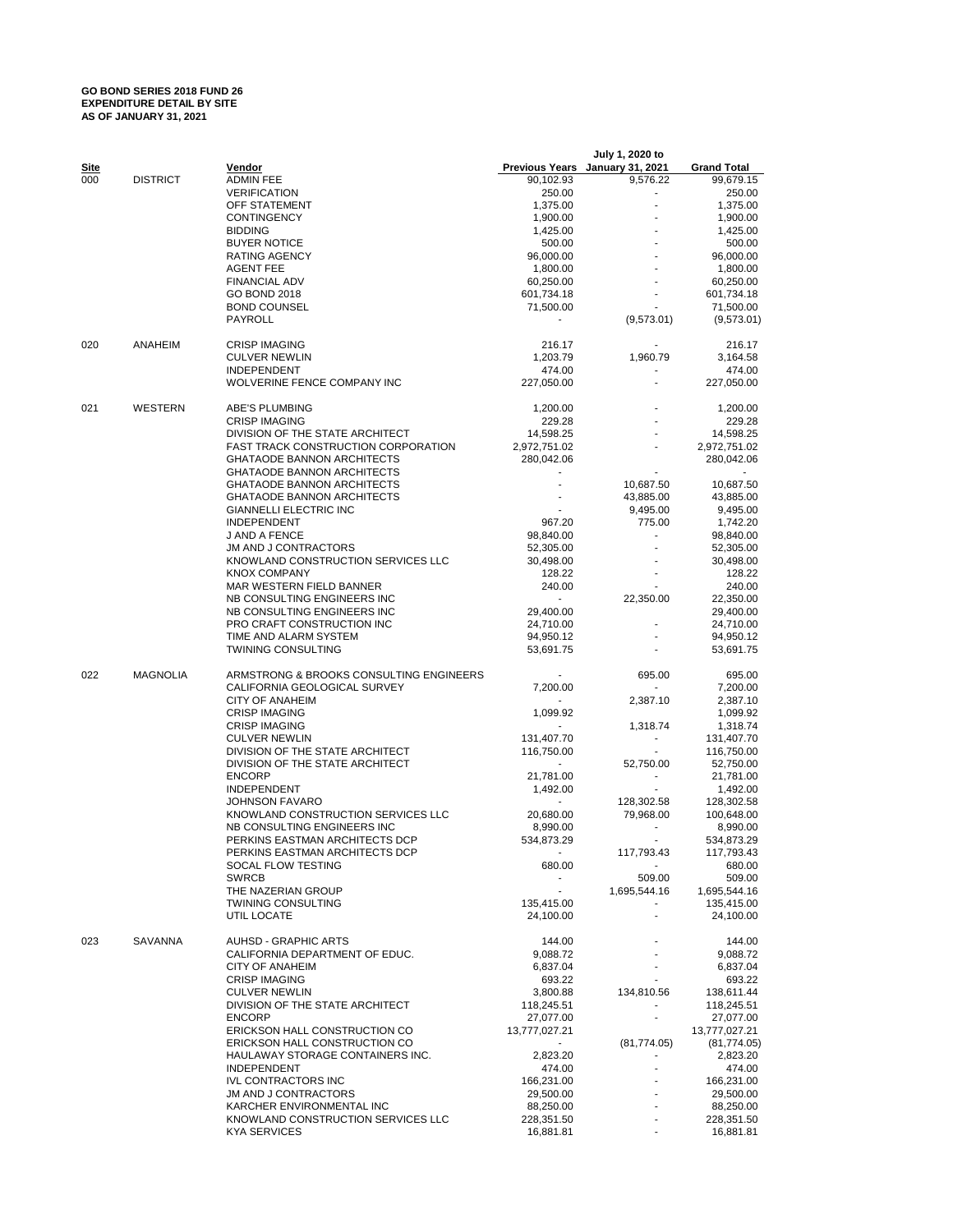## **GO BOND SERIES 2018 FUND 26 EXPENDITURE DETAIL BY SITE AS OF JANUARY 31, 2021**

|             |                 |                                                                        |                         | July 1, 2020 to                 |                          |
|-------------|-----------------|------------------------------------------------------------------------|-------------------------|---------------------------------|--------------------------|
| <u>Site</u> |                 | Vendor                                                                 |                         | Previous Years January 31, 2021 | <b>Grand Total</b>       |
| 000         | <b>DISTRICT</b> | <b>ADMIN FEE</b>                                                       | 90,102.93               | 9,576.22                        | 99,679.15                |
|             |                 | <b>VERIFICATION</b>                                                    | 250.00                  |                                 | 250.00                   |
|             |                 | OFF STATEMENT                                                          | 1,375.00                |                                 | 1,375.00                 |
|             |                 | <b>CONTINGENCY</b>                                                     | 1,900.00                |                                 | 1,900.00                 |
|             |                 | <b>BIDDING</b><br><b>BUYER NOTICE</b>                                  | 1,425.00<br>500.00      |                                 | 1,425.00<br>500.00       |
|             |                 | <b>RATING AGENCY</b>                                                   | 96,000.00               |                                 | 96,000.00                |
|             |                 | <b>AGENT FEE</b>                                                       | 1,800.00                |                                 | 1,800.00                 |
|             |                 | <b>FINANCIAL ADV</b>                                                   | 60,250.00               |                                 | 60,250.00                |
|             |                 | <b>GO BOND 2018</b>                                                    | 601,734.18              |                                 | 601,734.18               |
|             |                 | <b>BOND COUNSEL</b>                                                    | 71,500.00               |                                 | 71,500.00                |
|             |                 | PAYROLL                                                                |                         | (9,573.01)                      | (9,573.01)               |
| 020         | ANAHEIM         | <b>CRISP IMAGING</b>                                                   | 216.17                  |                                 | 216.17                   |
|             |                 | <b>CULVER NEWLIN</b>                                                   | 1,203.79                | 1,960.79                        | 3,164.58                 |
|             |                 | <b>INDEPENDENT</b>                                                     | 474.00                  |                                 | 474.00                   |
|             |                 | WOLVERINE FENCE COMPANY INC                                            | 227,050.00              |                                 | 227,050.00               |
| 021         | WESTERN         | ABE'S PLUMBING                                                         | 1,200.00                |                                 | 1,200.00                 |
|             |                 | <b>CRISP IMAGING</b>                                                   | 229.28                  |                                 | 229.28                   |
|             |                 | DIVISION OF THE STATE ARCHITECT                                        | 14,598.25               |                                 | 14,598.25                |
|             |                 | <b>FAST TRACK CONSTRUCTION CORPORATION</b>                             | 2,972,751.02            |                                 | 2,972,751.02             |
|             |                 | <b>GHATAODE BANNON ARCHITECTS</b>                                      | 280,042.06              |                                 | 280,042.06               |
|             |                 | <b>GHATAODE BANNON ARCHITECTS</b><br><b>GHATAODE BANNON ARCHITECTS</b> |                         | 10,687.50                       | 10,687.50                |
|             |                 | <b>GHATAODE BANNON ARCHITECTS</b>                                      |                         | 43,885.00                       | 43,885.00                |
|             |                 | <b>GIANNELLI ELECTRIC INC</b>                                          |                         | 9,495.00                        | 9,495.00                 |
|             |                 | <b>INDEPENDENT</b>                                                     | 967.20                  | 775.00                          | 1,742.20                 |
|             |                 | J AND A FENCE                                                          | 98,840.00               |                                 | 98,840.00                |
|             |                 | <b>JM AND J CONTRACTORS</b>                                            | 52,305.00               |                                 | 52,305.00                |
|             |                 | KNOWLAND CONSTRUCTION SERVICES LLC                                     | 30,498.00               |                                 | 30,498.00                |
|             |                 | <b>KNOX COMPANY</b>                                                    | 128.22                  |                                 | 128.22                   |
|             |                 | MAR WESTERN FIELD BANNER                                               | 240.00<br>$\mathbf{r}$  |                                 | 240.00                   |
|             |                 | NB CONSULTING ENGINEERS INC<br>NB CONSULTING ENGINEERS INC             |                         | 22,350.00                       | 22,350.00                |
|             |                 | PRO CRAFT CONSTRUCTION INC                                             | 29,400.00<br>24,710.00  |                                 | 29,400.00<br>24,710.00   |
|             |                 | TIME AND ALARM SYSTEM                                                  | 94,950.12               |                                 | 94,950.12                |
|             |                 | <b>TWINING CONSULTING</b>                                              | 53,691.75               |                                 | 53,691.75                |
| 022         | <b>MAGNOLIA</b> | ARMSTRONG & BROOKS CONSULTING ENGINEERS                                |                         |                                 |                          |
|             |                 | CALIFORNIA GEOLOGICAL SURVEY                                           | 7,200.00                | 695.00                          | 695.00<br>7,200.00       |
|             |                 | <b>CITY OF ANAHEIM</b>                                                 |                         | 2,387.10                        | 2,387.10                 |
|             |                 | <b>CRISP IMAGING</b>                                                   | 1,099.92                |                                 | 1,099.92                 |
|             |                 | <b>CRISP IMAGING</b>                                                   |                         | 1,318.74                        | 1,318.74                 |
|             |                 | <b>CULVER NEWLIN</b>                                                   | 131,407.70              |                                 | 131,407.70               |
|             |                 | DIVISION OF THE STATE ARCHITECT                                        | 116,750.00              | $\blacksquare$                  | 116,750.00               |
|             |                 | DIVISION OF THE STATE ARCHITECT                                        |                         | 52,750.00                       | 52,750.00                |
|             |                 | <b>ENCORP</b>                                                          | 21,781.00               | $\overline{\phantom{a}}$        | 21,781.00                |
|             |                 | <b>INDEPENDENT</b><br><b>JOHNSON FAVARO</b>                            | 1,492.00                | $\blacksquare$                  | 1,492.00                 |
|             |                 | KNOWLAND CONSTRUCTION SERVICES LLC                                     | 20,680.00               | 128,302.58<br>79,968.00         | 128,302.58<br>100,648.00 |
|             |                 | NB CONSULTING ENGINEERS INC                                            | 8,990.00                | $\blacksquare$                  | 8,990.00                 |
|             |                 | PERKINS EASTMAN ARCHITECTS DCP                                         | 534,873.29              |                                 | 534.873.29               |
|             |                 | PERKINS EASTMAN ARCHITECTS DCP                                         |                         | 117,793.43                      | 117,793.43               |
|             |                 | SOCAL FLOW TESTING                                                     | 680.00                  | $\blacksquare$                  | 680.00                   |
|             |                 | <b>SWRCB</b>                                                           |                         | 509.00                          | 509.00                   |
|             |                 | THE NAZERIAN GROUP                                                     | $\sim$                  | 1,695,544.16                    | 1,695,544.16             |
|             |                 | <b>TWINING CONSULTING</b>                                              | 135,415.00              |                                 | 135,415.00               |
|             |                 | UTIL LOCATE                                                            | 24,100.00               | $\overline{\phantom{a}}$        | 24,100.00                |
| 023         | SAVANNA         | <b>AUHSD - GRAPHIC ARTS</b>                                            | 144.00                  |                                 | 144.00                   |
|             |                 | CALIFORNIA DEPARTMENT OF EDUC.                                         | 9,088.72                |                                 | 9,088.72                 |
|             |                 | CITY OF ANAHEIM                                                        | 6,837.04                |                                 | 6,837.04                 |
|             |                 | <b>CRISP IMAGING</b>                                                   | 693.22                  |                                 | 693.22                   |
|             |                 | <b>CULVER NEWLIN</b>                                                   | 3,800.88                | 134,810.56                      | 138,611.44               |
|             |                 | DIVISION OF THE STATE ARCHITECT<br><b>ENCORP</b>                       | 118,245.51<br>27,077.00 | $\overline{\phantom{a}}$        | 118,245.51<br>27,077.00  |
|             |                 | ERICKSON HALL CONSTRUCTION CO                                          | 13,777,027.21           |                                 | 13,777,027.21            |
|             |                 | ERICKSON HALL CONSTRUCTION CO                                          |                         | (81, 774.05)                    | (81, 774.05)             |
|             |                 | HAULAWAY STORAGE CONTAINERS INC.                                       | 2,823.20                | $\frac{1}{2}$                   | 2,823.20                 |
|             |                 | <b>INDEPENDENT</b>                                                     | 474.00                  |                                 | 474.00                   |
|             |                 | <b>IVL CONTRACTORS INC</b>                                             | 166,231.00              |                                 | 166,231.00               |
|             |                 | <b>JM AND J CONTRACTORS</b>                                            | 29,500.00               |                                 | 29,500.00                |
|             |                 | KARCHER ENVIRONMENTAL INC                                              | 88,250.00               |                                 | 88,250.00                |
|             |                 | KNOWLAND CONSTRUCTION SERVICES LLC<br><b>KYA SERVICES</b>              | 228,351.50<br>16,881.81 |                                 | 228,351.50<br>16,881.81  |
|             |                 |                                                                        |                         |                                 |                          |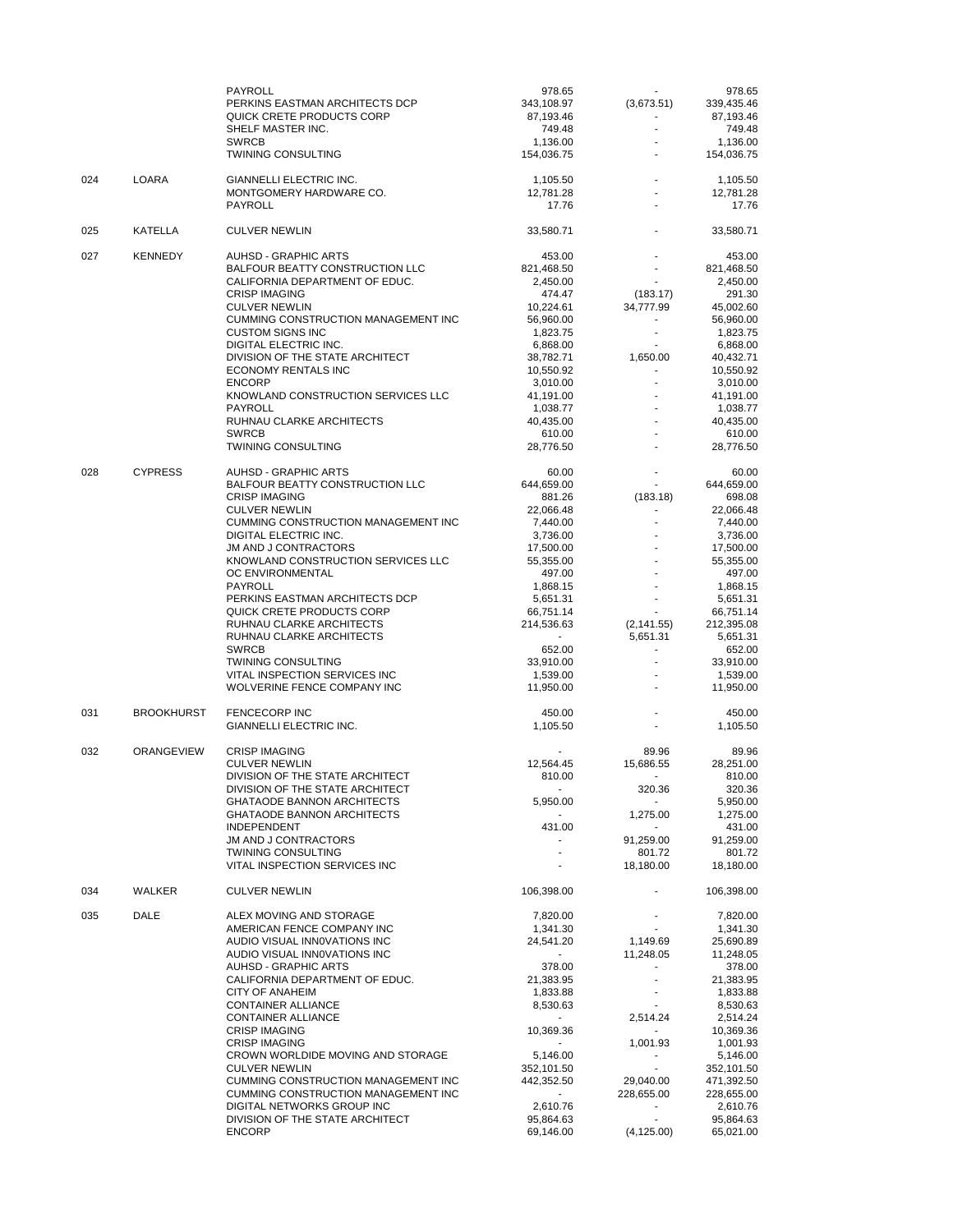|     |                   | PAYROLL                                                              | 978.65                   |                            | 978.65                  |
|-----|-------------------|----------------------------------------------------------------------|--------------------------|----------------------------|-------------------------|
|     |                   | PERKINS EASTMAN ARCHITECTS DCP<br>QUICK CRETE PRODUCTS CORP          | 343,108.97<br>87,193.46  | (3,673.51)                 | 339,435.46<br>87,193.46 |
|     |                   | SHELF MASTER INC.                                                    | 749.48                   |                            | 749.48                  |
|     |                   | <b>SWRCB</b>                                                         | 1,136.00                 |                            | 1,136.00                |
|     |                   | <b>TWINING CONSULTING</b>                                            | 154,036.75               |                            | 154,036.75              |
| 024 | LOARA             | GIANNELLI ELECTRIC INC.                                              | 1,105.50                 |                            | 1,105.50                |
|     |                   | MONTGOMERY HARDWARE CO.                                              | 12,781.28                | $\overline{\phantom{a}}$   | 12,781.28               |
|     |                   | <b>PAYROLL</b>                                                       | 17.76                    |                            | 17.76                   |
| 025 | KATELLA           | <b>CULVER NEWLIN</b>                                                 | 33,580.71                |                            | 33,580.71               |
| 027 | <b>KENNEDY</b>    | <b>AUHSD - GRAPHIC ARTS</b>                                          | 453.00                   |                            | 453.00                  |
|     |                   | BALFOUR BEATTY CONSTRUCTION LLC                                      | 821,468.50               |                            | 821,468.50              |
|     |                   | CALIFORNIA DEPARTMENT OF EDUC.<br><b>CRISP IMAGING</b>               | 2,450.00<br>474.47       | $\blacksquare$<br>(183.17) | 2,450.00<br>291.30      |
|     |                   | <b>CULVER NEWLIN</b>                                                 | 10,224.61                | 34,777.99                  | 45,002.60               |
|     |                   | <b>CUMMING CONSTRUCTION MANAGEMENT INC</b>                           | 56,960.00                |                            | 56,960.00               |
|     |                   | <b>CUSTOM SIGNS INC</b>                                              | 1,823.75                 | ٠                          | 1,823.75                |
|     |                   | DIGITAL ELECTRIC INC.                                                | 6,868.00                 |                            | 6,868.00                |
|     |                   | DIVISION OF THE STATE ARCHITECT                                      | 38,782.71                | 1,650.00                   | 40,432.71               |
|     |                   | <b>ECONOMY RENTALS INC</b><br><b>ENCORP</b>                          | 10,550.92<br>3,010.00    | $\blacksquare$             | 10,550.92<br>3,010.00   |
|     |                   | KNOWLAND CONSTRUCTION SERVICES LLC                                   | 41,191.00                |                            | 41,191.00               |
|     |                   | PAYROLL                                                              | 1,038.77                 |                            | 1,038.77                |
|     |                   | RUHNAU CLARKE ARCHITECTS                                             | 40,435.00                |                            | 40,435.00               |
|     |                   | <b>SWRCB</b>                                                         | 610.00                   |                            | 610.00                  |
|     |                   | <b>TWINING CONSULTING</b>                                            | 28,776.50                |                            | 28,776.50               |
| 028 | <b>CYPRESS</b>    | <b>AUHSD - GRAPHIC ARTS</b>                                          | 60.00                    |                            | 60.00                   |
|     |                   | BALFOUR BEATTY CONSTRUCTION LLC                                      | 644,659.00               | ÷.                         | 644,659.00              |
|     |                   | <b>CRISP IMAGING</b>                                                 | 881.26                   | (183.18)                   | 698.08                  |
|     |                   | <b>CULVER NEWLIN</b><br><b>CUMMING CONSTRUCTION MANAGEMENT INC</b>   | 22,066.48<br>7,440.00    | $\blacksquare$             | 22,066.48<br>7,440.00   |
|     |                   | <b>DIGITAL ELECTRIC INC.</b>                                         | 3,736.00                 |                            | 3,736.00                |
|     |                   | <b>JM AND J CONTRACTORS</b>                                          | 17,500.00                |                            | 17,500.00               |
|     |                   | KNOWLAND CONSTRUCTION SERVICES LLC                                   | 55,355.00                |                            | 55,355.00               |
|     |                   | OC ENVIRONMENTAL                                                     | 497.00                   |                            | 497.00                  |
|     |                   | PAYROLL                                                              | 1,868.15                 |                            | 1,868.15                |
|     |                   | PERKINS EASTMAN ARCHITECTS DCP<br>QUICK CRETE PRODUCTS CORP          | 5,651.31<br>66,751.14    | $\overline{a}$             | 5,651.31<br>66,751.14   |
|     |                   | RUHNAU CLARKE ARCHITECTS                                             | 214,536.63               | (2, 141.55)                | 212,395.08              |
|     |                   | RUHNAU CLARKE ARCHITECTS                                             | $\sim$                   | 5,651.31                   | 5,651.31                |
|     |                   | <b>SWRCB</b>                                                         | 652.00                   | $\overline{\phantom{a}}$   | 652.00                  |
|     |                   | <b>TWINING CONSULTING</b>                                            | 33,910.00                |                            | 33,910.00               |
|     |                   | VITAL INSPECTION SERVICES INC                                        | 1,539.00                 |                            | 1,539.00                |
|     |                   | WOLVERINE FENCE COMPANY INC                                          | 11,950.00                |                            | 11,950.00               |
| 031 | <b>BROOKHURST</b> | <b>FENCECORP INC</b>                                                 | 450.00                   |                            | 450.00                  |
|     |                   | GIANNELLI ELECTRIC INC.                                              | 1,105.50                 |                            | 1,105.50                |
| 032 | <b>ORANGEVIEW</b> | <b>CRISP IMAGING</b>                                                 |                          | 89.96                      | 89.96                   |
|     |                   | <b>CULVER NEWLIN</b>                                                 | 12,564.45                | 15,686.55                  | 28,251.00               |
|     |                   | DIVISION OF THE STATE ARCHITECT                                      | 810.00                   | $\blacksquare$             | 810.00                  |
|     |                   | DIVISION OF THE STATE ARCHITECT<br><b>GHATAODE BANNON ARCHITECTS</b> | $\sim$                   | 320.36                     | 320.36                  |
|     |                   | <b>GHATAODE BANNON ARCHITECTS</b>                                    | 5,950.00                 | 1,275.00                   | 5,950.00<br>1,275.00    |
|     |                   | <b>INDEPENDENT</b>                                                   | 431.00                   | $\sim$                     | 431.00                  |
|     |                   | JM AND J CONTRACTORS                                                 |                          | 91,259.00                  | 91,259.00               |
|     |                   | <b>TWINING CONSULTING</b>                                            | $\overline{\phantom{a}}$ | 801.72                     | 801.72                  |
|     |                   | VITAL INSPECTION SERVICES INC                                        |                          | 18,180.00                  | 18,180.00               |
| 034 | WALKER            | <b>CULVER NEWLIN</b>                                                 | 106,398.00               |                            | 106,398.00              |
| 035 | <b>DALE</b>       | ALEX MOVING AND STORAGE                                              | 7,820.00                 | $\blacksquare$             | 7,820.00                |
|     |                   | AMERICAN FENCE COMPANY INC                                           | 1,341.30                 |                            | 1,341.30                |
|     |                   | AUDIO VISUAL INNOVATIONS INC                                         | 24,541.20                | 1,149.69                   | 25,690.89               |
|     |                   | AUDIO VISUAL INNOVATIONS INC<br><b>AUHSD - GRAPHIC ARTS</b>          | $\sim$<br>378.00         | 11,248.05                  | 11,248.05<br>378.00     |
|     |                   | CALIFORNIA DEPARTMENT OF EDUC.                                       | 21,383.95                |                            | 21,383.95               |
|     |                   | <b>CITY OF ANAHEIM</b>                                               | 1,833.88                 | $\blacksquare$             | 1,833.88                |
|     |                   | CONTAINER ALLIANCE                                                   | 8,530.63                 |                            | 8,530.63                |
|     |                   | <b>CONTAINER ALLIANCE</b>                                            |                          | 2,514.24                   | 2,514.24                |
|     |                   | <b>CRISP IMAGING</b>                                                 | 10,369.36                |                            | 10,369.36               |
|     |                   | <b>CRISP IMAGING</b><br>CROWN WORLDIDE MOVING AND STORAGE            | 5,146.00                 | 1,001.93                   | 1,001.93<br>5,146.00    |
|     |                   | <b>CULVER NEWLIN</b>                                                 | 352,101.50               |                            | 352,101.50              |
|     |                   | CUMMING CONSTRUCTION MANAGEMENT INC                                  | 442,352.50               | 29,040.00                  | 471,392.50              |
|     |                   | <b>CUMMING CONSTRUCTION MANAGEMENT INC</b>                           | $\sim$                   | 228,655.00                 | 228,655.00              |
|     |                   | DIGITAL NETWORKS GROUP INC                                           | 2,610.76                 | $\sim$                     | 2,610.76                |
|     |                   | DIVISION OF THE STATE ARCHITECT                                      | 95,864.63                |                            | 95,864.63               |
|     |                   | <b>ENCORP</b>                                                        | 69,146.00                | (4, 125.00)                | 65,021.00               |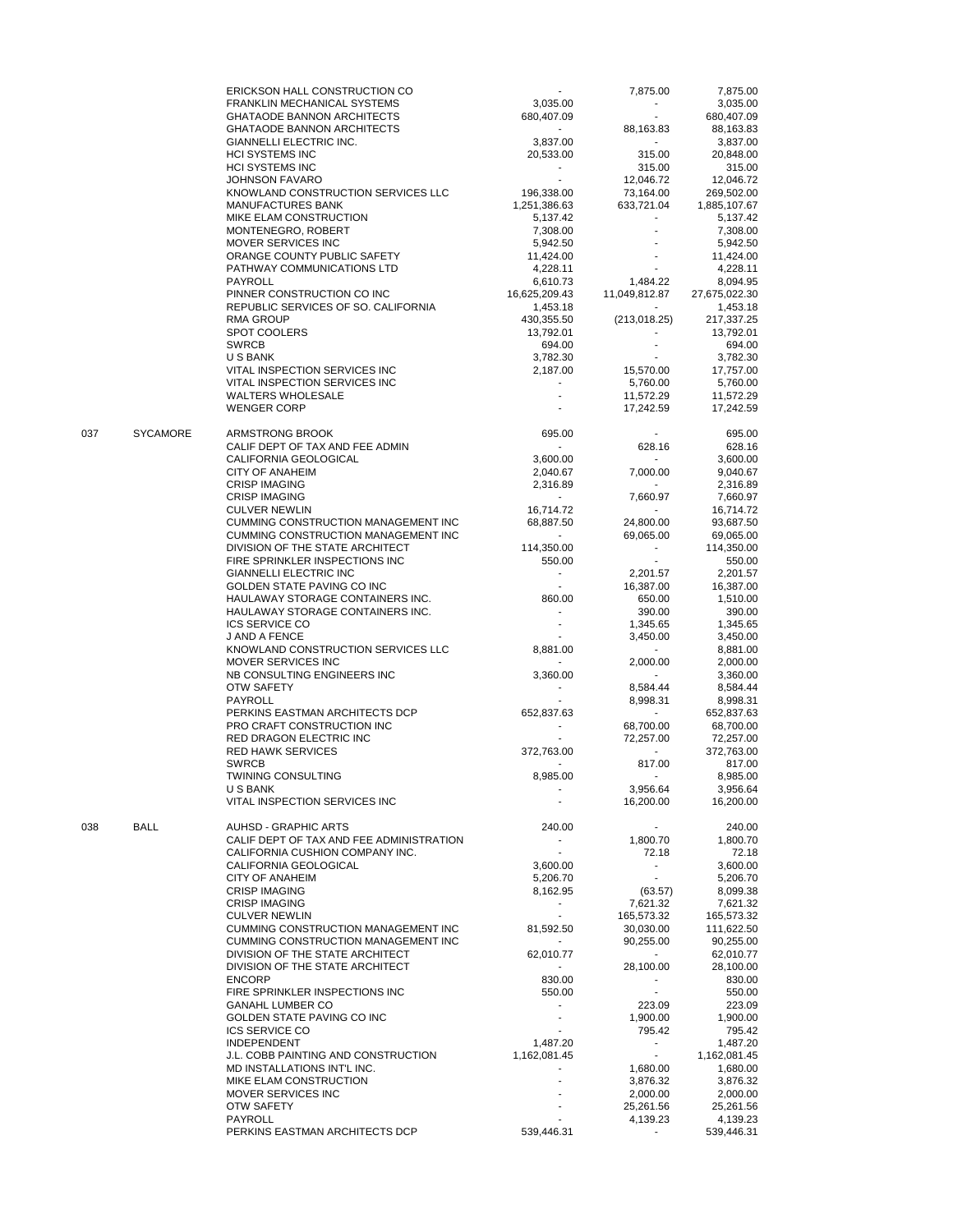|     |                 | ERICKSON HALL CONSTRUCTION CO                             |                                       | 7,875.00                 | 7,875.00                |
|-----|-----------------|-----------------------------------------------------------|---------------------------------------|--------------------------|-------------------------|
|     |                 | FRANKLIN MECHANICAL SYSTEMS                               | 3,035.00                              |                          | 3,035.00                |
|     |                 | <b>GHATAODE BANNON ARCHITECTS</b>                         | 680,407.09                            | ä,                       | 680,407.09              |
|     |                 | <b>GHATAODE BANNON ARCHITECTS</b>                         | $\sim$                                | 88,163.83                | 88,163.83               |
|     |                 | <b>GIANNELLI ELECTRIC INC.</b>                            | 3,837.00                              | $\sim$                   | 3,837.00                |
|     |                 | <b>HCI SYSTEMS INC</b>                                    | 20,533.00                             | 315.00                   | 20,848.00               |
|     |                 | <b>HCI SYSTEMS INC</b>                                    |                                       | 315.00                   | 315.00                  |
|     |                 | <b>JOHNSON FAVARO</b>                                     |                                       | 12,046.72                | 12,046.72               |
|     |                 | KNOWLAND CONSTRUCTION SERVICES LLC                        | 196,338.00                            | 73,164.00                | 269,502.00              |
|     |                 | <b>MANUFACTURES BANK</b>                                  | 1,251,386.63                          | 633,721.04               | 1,885,107.67            |
|     |                 | MIKE ELAM CONSTRUCTION                                    | 5,137.42                              |                          | 5,137.42                |
|     |                 | MONTENEGRO, ROBERT                                        | 7,308.00                              |                          | 7,308.00                |
|     |                 | MOVER SERVICES INC                                        | 5,942.50                              |                          | 5,942.50                |
|     |                 | ORANGE COUNTY PUBLIC SAFETY                               | 11,424.00                             |                          | 11,424.00               |
|     |                 | PATHWAY COMMUNICATIONS LTD                                | 4,228.11                              |                          | 4,228.11                |
|     |                 | PAYROLL                                                   | 6,610.73                              | 1,484.22                 | 8,094.95                |
|     |                 | PINNER CONSTRUCTION CO INC                                | 16,625,209.43                         | 11,049,812.87            | 27,675,022.30           |
|     |                 | REPUBLIC SERVICES OF SO. CALIFORNIA                       | 1,453.18                              |                          | 1,453.18                |
|     |                 | <b>RMA GROUP</b>                                          | 430,355.50                            | (213, 018.25)            | 217,337.25              |
|     |                 | <b>SPOT COOLERS</b>                                       | 13,792.01                             |                          | 13,792.01               |
|     |                 | <b>SWRCB</b>                                              | 694.00                                |                          | 694.00                  |
|     |                 | U S BANK                                                  | 3,782.30                              |                          | 3,782.30                |
|     |                 | VITAL INSPECTION SERVICES INC                             | 2,187.00                              | 15,570.00                | 17,757.00               |
|     |                 | VITAL INSPECTION SERVICES INC                             |                                       | 5,760.00                 | 5,760.00                |
|     |                 | <b>WALTERS WHOLESALE</b>                                  | $\mathbf{r}$                          | 11,572.29                | 11,572.29               |
|     |                 | <b>WENGER CORP</b>                                        |                                       | 17,242.59                | 17,242.59               |
|     |                 |                                                           |                                       |                          |                         |
| 037 | <b>SYCAMORE</b> | <b>ARMSTRONG BROOK</b><br>CALIF DEPT OF TAX AND FEE ADMIN | 695.00<br>$\mathcal{L}_{\mathcal{A}}$ | 628.16                   | 695.00<br>628.16        |
|     |                 | CALIFORNIA GEOLOGICAL                                     | 3,600.00                              | $\mathbf{r}$             | 3,600.00                |
|     |                 | CITY OF ANAHEIM                                           | 2,040.67                              | 7,000.00                 | 9,040.67                |
|     |                 | <b>CRISP IMAGING</b>                                      | 2,316.89                              |                          | 2,316.89                |
|     |                 | <b>CRISP IMAGING</b>                                      | $\sim$                                | 7.660.97                 | 7,660.97                |
|     |                 | <b>CULVER NEWLIN</b>                                      | 16,714.72                             |                          | 16,714.72               |
|     |                 | CUMMING CONSTRUCTION MANAGEMENT INC                       | 68,887.50                             | 24,800.00                | 93,687.50               |
|     |                 | CUMMING CONSTRUCTION MANAGEMENT INC                       | $\sim$                                | 69,065.00                | 69,065.00               |
|     |                 | DIVISION OF THE STATE ARCHITECT                           | 114,350.00                            | $\overline{\phantom{a}}$ | 114,350.00              |
|     |                 | FIRE SPRINKLER INSPECTIONS INC                            | 550.00                                | $\mathbf{r}$             | 550.00                  |
|     |                 | <b>GIANNELLI ELECTRIC INC</b>                             | $\sim$                                | 2,201.57                 | 2,201.57                |
|     |                 | GOLDEN STATE PAVING CO INC                                |                                       | 16,387.00                | 16,387.00               |
|     |                 | HAULAWAY STORAGE CONTAINERS INC.                          | 860.00                                | 650.00                   | 1,510.00                |
|     |                 | HAULAWAY STORAGE CONTAINERS INC.                          |                                       | 390.00                   | 390.00                  |
|     |                 | <b>ICS SERVICE CO</b>                                     |                                       | 1,345.65                 | 1,345.65                |
|     |                 | J AND A FENCE                                             |                                       | 3,450.00                 | 3,450.00                |
|     |                 | KNOWLAND CONSTRUCTION SERVICES LLC                        | 8,881.00                              | $\overline{\phantom{a}}$ | 8,881.00                |
|     |                 | MOVER SERVICES INC                                        |                                       | 2,000.00                 | 2,000.00                |
|     |                 | NB CONSULTING ENGINEERS INC                               | 3,360.00                              |                          | 3,360.00                |
|     |                 | OTW SAFETY                                                | $\blacksquare$                        | 8,584.44                 | 8,584.44                |
|     |                 | PAYROLL                                                   |                                       | 8,998.31                 | 8,998.31                |
|     |                 | PERKINS EASTMAN ARCHITECTS DCP                            | 652,837.63                            |                          | 652,837.63              |
|     |                 | PRO CRAFT CONSTRUCTION INC                                |                                       |                          |                         |
|     |                 | RED DRAGON ELECTRIC INC                                   |                                       | 68,700.00<br>72,257.00   | 68,700.00               |
|     |                 | <b>RED HAWK SERVICES</b>                                  |                                       |                          | 72,257.00<br>372,763.00 |
|     |                 |                                                           | 372,763.00                            |                          |                         |
|     |                 | <b>SWRCB</b>                                              |                                       | 817.00<br>$\mathbf{r}$   | 817.00                  |
|     |                 | <b>TWINING CONSULTING</b>                                 | 8,985.00                              |                          | 8,985.00                |
|     |                 | U S BANK<br>VITAL INSPECTION SERVICES INC                 |                                       | 3,956.64<br>16,200.00    | 3,956.64<br>16,200.00   |
|     |                 |                                                           |                                       |                          |                         |
| 038 | <b>BALL</b>     | <b>AUHSD - GRAPHIC ARTS</b>                               | 240.00                                | ۰.                       | 240.00                  |
|     |                 | CALIF DEPT OF TAX AND FEE ADMINISTRATION                  |                                       | 1,800.70                 | 1,800.70                |
|     |                 | CALIFORNIA CUSHION COMPANY INC.                           |                                       | 72.18                    | 72.18                   |
|     |                 | CALIFORNIA GEOLOGICAL                                     | 3,600.00                              | $\sim$                   | 3,600.00                |
|     |                 | CITY OF ANAHEIM                                           | 5,206.70                              |                          | 5,206.70                |
|     |                 | <b>CRISP IMAGING</b>                                      | 8,162.95                              | (63.57)                  | 8,099.38                |
|     |                 | <b>CRISP IMAGING</b>                                      | $\sim$                                | 7,621.32                 | 7,621.32                |
|     |                 | <b>CULVER NEWLIN</b>                                      | $\sim$                                | 165,573.32               | 165,573.32              |
|     |                 | CUMMING CONSTRUCTION MANAGEMENT INC                       | 81,592.50                             | 30,030.00                | 111,622.50              |
|     |                 | CUMMING CONSTRUCTION MANAGEMENT INC                       | $\sim$                                | 90,255.00                | 90,255.00               |
|     |                 | DIVISION OF THE STATE ARCHITECT                           | 62,010.77                             | $\sim$                   | 62,010.77               |
|     |                 | DIVISION OF THE STATE ARCHITECT                           |                                       | 28,100.00                | 28,100.00               |
|     |                 | <b>ENCORP</b>                                             | 830.00                                |                          | 830.00                  |
|     |                 | FIRE SPRINKLER INSPECTIONS INC                            | 550.00                                |                          | 550.00                  |
|     |                 | <b>GANAHL LUMBER CO</b>                                   | $\sim$                                | 223.09                   | 223.09                  |
|     |                 | GOLDEN STATE PAVING CO INC                                |                                       | 1,900.00                 | 1,900.00                |
|     |                 | <b>ICS SERVICE CO</b>                                     |                                       | 795.42                   | 795.42                  |
|     |                 | <b>INDEPENDENT</b>                                        | 1,487.20                              | ۰                        | 1,487.20                |
|     |                 | J.L. COBB PAINTING AND CONSTRUCTION                       | 1,162,081.45                          | $\blacksquare$           | 1,162,081.45            |
|     |                 | MD INSTALLATIONS INT'L INC.                               | $\overline{a}$                        | 1,680.00                 | 1,680.00                |
|     |                 | MIKE ELAM CONSTRUCTION                                    |                                       | 3,876.32                 | 3,876.32                |
|     |                 | MOVER SERVICES INC                                        |                                       | 2,000.00                 | 2,000.00                |
|     |                 | OTW SAFETY                                                |                                       | 25,261.56                | 25,261.56               |
|     |                 | PAYROLL                                                   |                                       | 4,139.23                 | 4,139.23                |
|     |                 | PERKINS EASTMAN ARCHITECTS DCP                            | 539,446.31                            |                          | 539,446.31              |
|     |                 |                                                           |                                       |                          |                         |